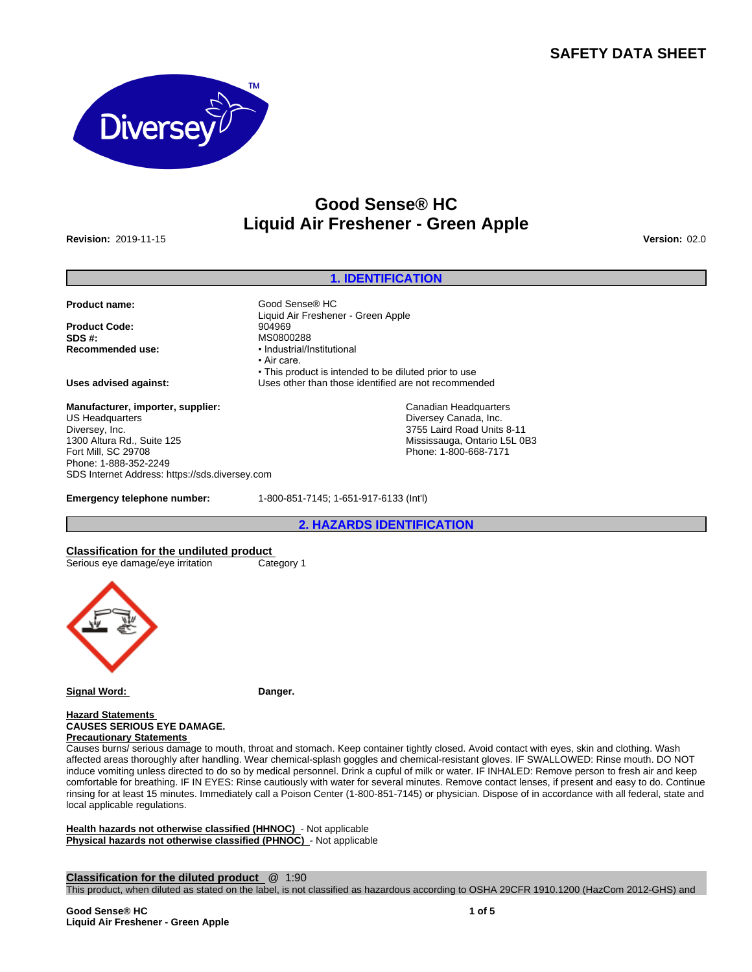## **SAFETY DATA SHEET**



# **Good Sense® HC Liquid Air Freshener - Green Apple**

**Revision:** 2019-11-15 **Version:** 02.0

### **1. IDENTIFICATION**

Canadian Headquarters Diversey Canada, Inc. 3755 Laird Road Units 8-11 Mississauga, Ontario L5L 0B3 Phone: 1-800-668-7171

• This product is intended to be diluted prior to use

**Product name:** Good Sense® HC

**Product Code:** 904969<br> **SDS #:** MS0800 **SDS #:** MS0800288

**Uses advised against:** Uses other than those identified are not recommended

**Manufacturer, importer, supplier:** US Headquarters Diversey, Inc. 1300 Altura Rd., Suite 125 Fort Mill, SC 29708 Phone: 1-888-352-2249 SDS Internet Address: https://sds.diversey.com

**Emergency telephone number:** 1-800-851-7145; 1-651-917-6133 (Int'l)

Liquid Air Freshener - Green Apple

**Recommended use:** •Industrial/Institutional

• Air care.

**2. HAZARDS IDENTIFICATION**

**Classification for the undiluted product** Serious eye damage/eye irritation Category 1



**Signal Word: Danger.**

**Hazard Statements CAUSES SERIOUS EYE DAMAGE. Precautionary Statements** 

Causes burns/ serious damage to mouth, throat and stomach. Keep container tightly closed. Avoid contact with eyes, skin and clothing. Wash affected areas thoroughly after handling. Wear chemical-splash goggles and chemical-resistant gloves. IF SWALLOWED: Rinse mouth. DO NOT induce vomiting unless directed to do so by medical personnel. Drink a cupful of milk or water. IF INHALED: Remove person to fresh air and keep comfortable for breathing. IF IN EYES: Rinse cautiously with water for several minutes. Remove contact lenses, if present and easy to do. Continue rinsing for at least 15 minutes. Immediately call a Poison Center (1-800-851-7145) or physician. Dispose of in accordance with all federal, state and local applicable regulations.

**Health hazards not otherwise classified (HHNOC)** - Not applicable **Physical hazards not otherwise classified (PHNOC)** - Not applicable

**Classification for the diluted product** @ 1:90

This product, when diluted as stated on the label, is not classified as hazardous according to OSHA 29CFR 1910.1200 (HazCom 2012-GHS) and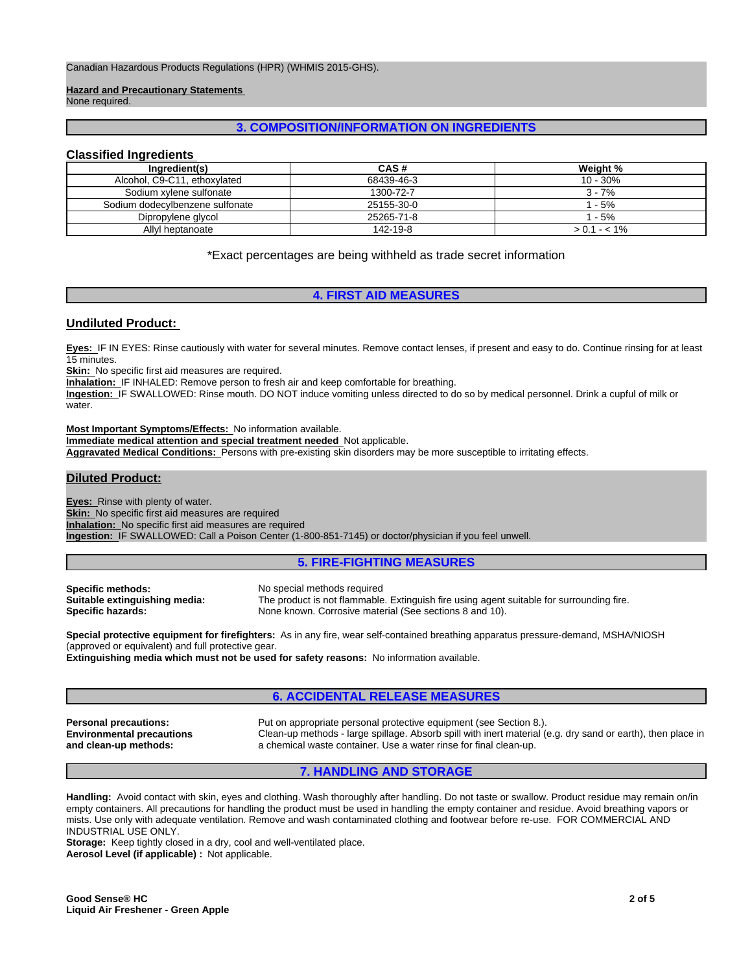**Hazard and Precautionary Statements** 

None required.

### **3. COMPOSITION/INFORMATION ON INGREDIENTS**

### **Classified Ingredients**

| Ingredient(s)                   | CAS#       | Weight %      |
|---------------------------------|------------|---------------|
| Alcohol, C9-C11, ethoxylated    | 68439-46-3 | 10 - 30%      |
| Sodium xylene sulfonate         | 1300-72-7  | $3 - 7%$      |
| Sodium dodecylbenzene sulfonate | 25155-30-0 | ' - 5%        |
| Dipropylene glycol              | 25265-71-8 | ' - 5%        |
| Allyl heptanoate                | 142-19-8   | $> 0.1 - 1\%$ |

\*Exact percentages are being withheld as trade secret information

### **4. FIRST AID MEASURES**

### **Undiluted Product:**

**Eyes:** IF IN EYES: Rinse cautiously with water for several minutes. Remove contact lenses, if present and easy to do. Continue rinsing for at least 15 minutes.

**Skin:** No specific first aid measures are required.

**Inhalation:** IF INHALED: Remove person to fresh air and keep comfortable for breathing.

**Ingestion:** IF SWALLOWED: Rinse mouth. DO NOT induce vomiting unless directed to do so by medical personnel. Drink a cupful of milk or water.

**Most Important Symptoms/Effects:** No information available.

**Immediate medical attention and special treatment needed** Not applicable.

**Aggravated Medical Conditions:** Persons with pre-existing skin disorders may be more susceptible to irritating effects.

### **Diluted Product:**

**Eyes:** Rinse with plenty of water. **Skin:** No specific first aid measures are required **Inhalation:** No specific first aid measures are required **Ingestion:** IF SWALLOWED: Call a Poison Center (1-800-851-7145) or doctor/physician if you feel unwell.

### **5. FIRE-FIGHTING MEASURES**

**Specific methods:** No special methods required<br> **Suitable extinguishing media:** The product is not flammable

The product is not flammable. Extinguish fire using agent suitable for surrounding fire. **Specific hazards:** None known. Corrosive material (See sections 8 and 10).

**Special protective equipment for firefighters:** As in any fire, wear self-contained breathing apparatus pressure-demand, MSHA/NIOSH (approved or equivalent) and full protective gear.

**Extinguishing media which must not be used for safety reasons:** No information available.

### **6. ACCIDENTAL RELEASE MEASURES**

**Environmental precautions and clean-up methods:**

**Personal precautions:** Put on appropriate personal protective equipment (see Section 8.). Clean-up methods - large spillage. Absorb spill with inert material (e.g. dry sand or earth), then place in a chemical waste container. Use a water rinse for final clean-up.

### **7. HANDLING AND STORAGE**

**Handling:** Avoid contact with skin, eyes and clothing. Wash thoroughly after handling. Do not taste or swallow. Product residue may remain on/in empty containers. All precautions for handling the product must be used in handling the empty container and residue. Avoid breathing vapors or mists. Use only with adequate ventilation. Remove and wash contaminated clothing and footwear before re-use. FOR COMMERCIAL AND INDUSTRIAL USE ONLY.

**Storage:** Keep tightly closed in a dry, cool and well-ventilated place.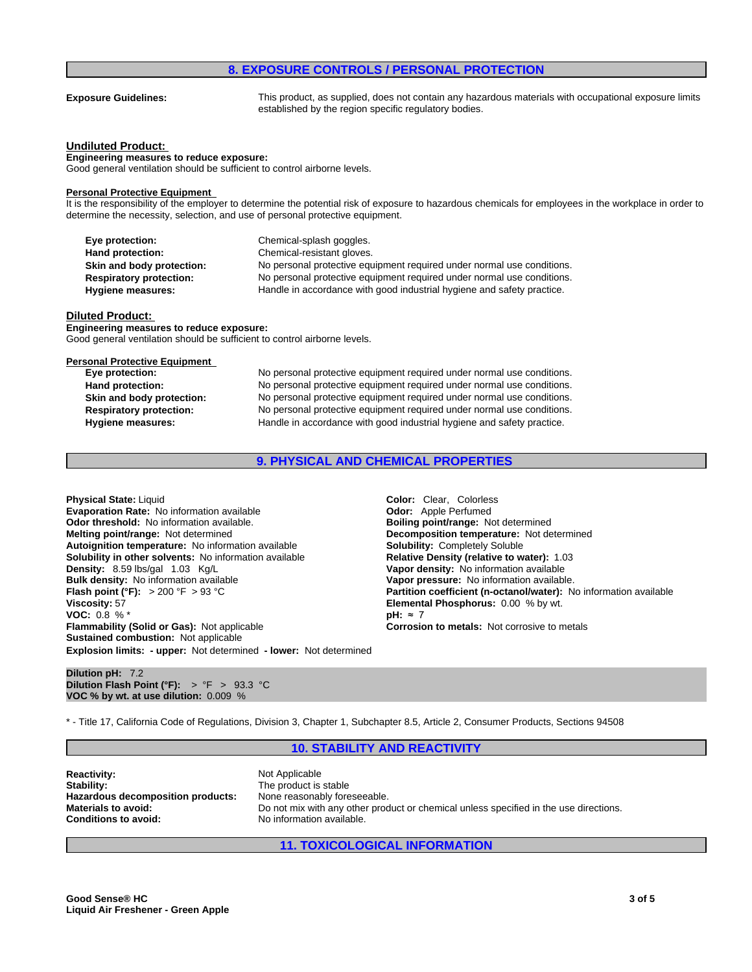### **8. EXPOSURE CONTROLS / PERSONAL PROTECTION**

**Exposure Guidelines:** This product, as supplied, does not contain any hazardous materials with occupational exposure limits established by the region specific regulatory bodies.

### **Undiluted Product:**

**Engineering measures to reduce exposure:** Good general ventilation should be sufficient to control airborne levels.

### **Personal Protective Equipment**

It is the responsibility of the employer to determine the potential risk of exposure to hazardous chemicals for employees in the workplace in order to determine the necessity, selection, and use of personal protective equipment.

| Eye protection:                | Chemical-splash goggles.                                               |
|--------------------------------|------------------------------------------------------------------------|
| Hand protection:               | Chemical-resistant gloves.                                             |
| Skin and body protection:      | No personal protective equipment required under normal use conditions. |
| <b>Respiratory protection:</b> | No personal protective equipment required under normal use conditions. |
| Hygiene measures:              | Handle in accordance with good industrial hygiene and safety practice. |

### **Diluted Product:**

**Engineering measures to reduce exposure:** Good general ventilation should be sufficient to control airborne levels.

### **Personal Protective Equipment**

**Eye protection:** No personal protective equipment required under normal use conditions. **Hand protection:** No personal protective equipment required under normal use conditions. **Skin and body protection:** No personal protective equipment required under normal use conditions. **Respiratory protection:** No personal protective equipment required under normal use conditions. **Hygiene measures:** Handle in accordance with good industrial hygiene and safety practice.

### **9. PHYSICAL AND CHEMICAL PROPERTIES**

**Explosion limits: - upper:** Not determined **- lower:** Not determined **Physical State: Liquid Color: Clear, Colorless Evaporation Rate:** No information available **Odor: Odor:** Apple Perfumed **Odor threshold:** No information available. **Boiling point/range:** Not determined **Melting point/range:** Not determined **Decomposition temperature:** Not determined **Autoignition temperature:** No information available **Solubility:** Completely Soluble **Solubility in other solvents:** No information available **Relative Density (relative to water):** 1.03 **Density:** 8.59 lbs/gal 1.03 Kg/L **Vanet Burger Constant Constant Constant Papor density:** No information available **Bulk density:** No information available **Bulk density:** No information available **Flash point (°F):** > 200 °F > 93 °C **Partition coefficient (n-octanol/water):** No information available **Viscosity:** 57 **Elemental Phosphorus:** 0.00 % by wt. **VOC:** 0.8 % <sup>\*</sup> **pH:** ≈7<br>**Flammability (Solid or Gas):** Not applicable **the convention of the Corrosic Sustained combustion:** Not applicable

# **Vapor pressure:** No information available. **Corrosion to metals:** Not corrosive to metals

### **Dilution pH:** 7.2 **Dilution Flash Point (°F):** > °F > 93.3 °C **VOC % by wt. at use dilution:** 0.009 %

\* - Title 17, California Code of Regulations, Division 3, Chapter 1, Subchapter 8.5, Article 2, Consumer Products, Sections 94508

### **10. STABILITY AND REACTIVITY**

**Reactivity:** Not Applicable Stability: Not Applicable Stability: **Hazardous decomposition products:**<br>Materials to avoid: **Conditions to avoid:** No information available.

The product is stable<br>None reasonably foreseeable. Do not mix with any other product or chemical unless specified in the use directions.

### **11. TOXICOLOGICAL INFORMATION**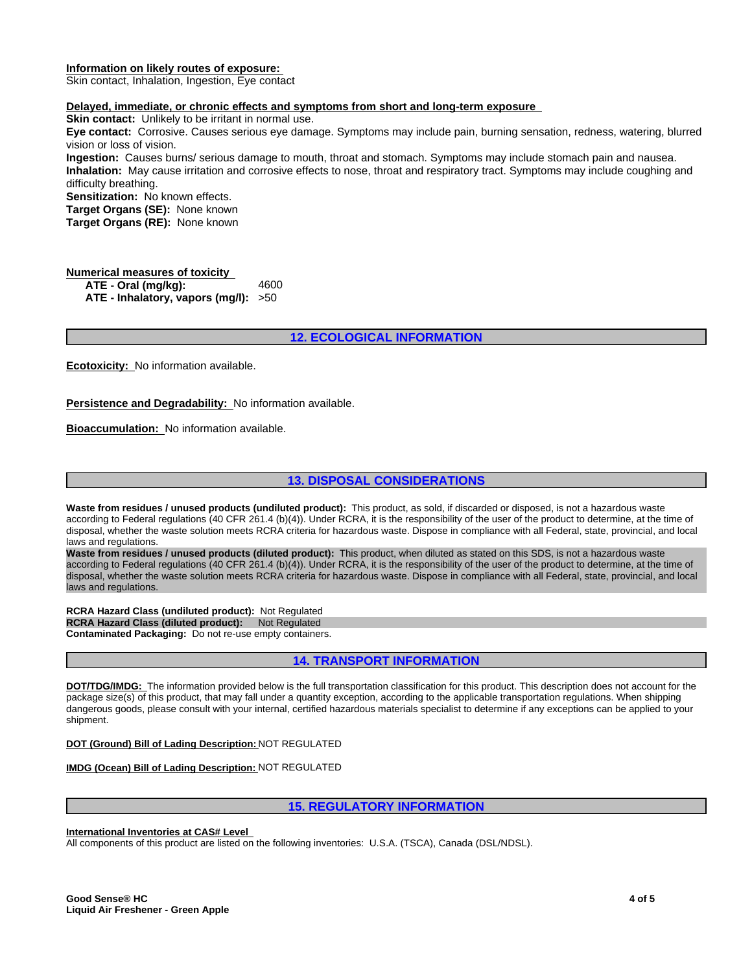### **Information on likely routes of exposure:**

Skin contact, Inhalation, Ingestion, Eye contact

### **Delayed, immediate, or chronic effects and symptoms from short and long-term exposure**

**Skin contact:** Unlikely to be irritant in normal use.

**Eye contact:** Corrosive. Causes serious eye damage. Symptoms may include pain, burning sensation, redness, watering, blurred vision or loss of vision.

**Ingestion:** Causes burns/ serious damage to mouth, throat and stomach. Symptoms may include stomach pain and nausea. **Inhalation:** May cause irritation and corrosive effects to nose, throat and respiratory tract. Symptoms may include coughing and difficulty breathing.

**Sensitization:** No known effects.

**Target Organs (SE):** None known

**Target Organs (RE):** None known

### **Numerical measures of toxicity ATE - Oral (mg/kg):** 4600 **ATE - Inhalatory, vapors (mg/l):** >50

### **12. ECOLOGICAL INFORMATION**

**Ecotoxicity:** No information available.

**Persistence and Degradability:** No information available.

**Bioaccumulation:** No information available.

### **13. DISPOSAL CONSIDERATIONS**

**Waste from residues / unused products (undiluted product):** This product, as sold, if discarded or disposed, is not a hazardous waste according to Federal regulations (40 CFR 261.4 (b)(4)). Under RCRA, it is the responsibility of the user of the product to determine, at the time of disposal, whether the waste solution meets RCRA criteria for hazardous waste. Dispose in compliance with all Federal, state, provincial, and local laws and regulations.

**Waste from residues / unused products (diluted product):** This product, when diluted as stated on this SDS, is not a hazardous waste according to Federal regulations (40 CFR 261.4 (b)(4)). Under RCRA, it is the responsibility of the user of the product to determine, at the time of disposal, whether the waste solution meets RCRA criteria for hazardous waste. Dispose in compliance with all Federal, state, provincial, and local laws and regulations.

**RCRA Hazard Class (undiluted product):** Not Regulated **RCRA Hazard Class (diluted product): Not Regulated Contaminated Packaging:** Do not re-use empty containers.

**14. TRANSPORT INFORMATION**

**DOT/TDG/IMDG:** The information provided below is the full transportation classification for this product. This description does not account for the package size(s) of this product, that may fall under a quantity exception, according to the applicable transportation regulations. When shipping dangerous goods, please consult with your internal, certified hazardous materials specialist to determine if any exceptions can be applied to your shipment.

### **DOT (Ground) Bill of Lading Description:** NOT REGULATED

**IMDG (Ocean) Bill of Lading Description:** NOT REGULATED

### **15. REGULATORY INFORMATION**

### **International Inventories at CAS# Level**

All components of this product are listed on the following inventories: U.S.A. (TSCA), Canada (DSL/NDSL).